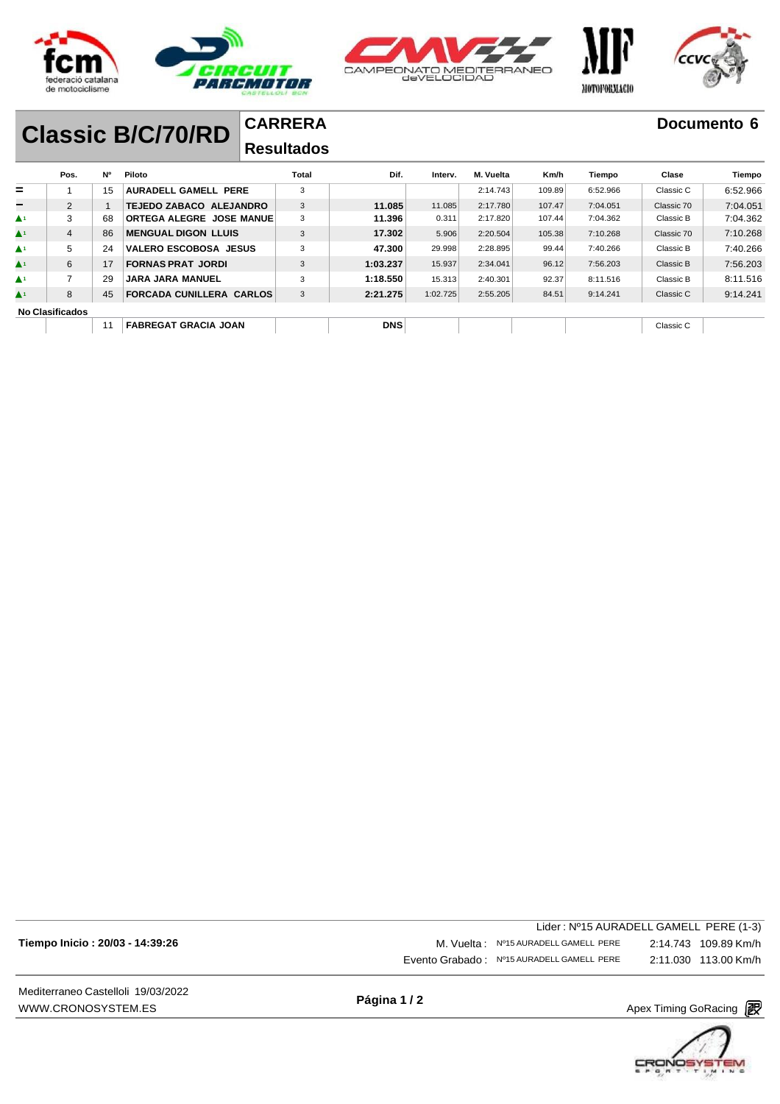





#### **CARRERA Classic B/C/70/RD**

### **Resultados**

|                               | Pos.                   | N° | Piloto                          | Total | Dif.       | Interv.  | M. Vuelta | Km/h   | Tiempo   | Clase      | Tiempo   |
|-------------------------------|------------------------|----|---------------------------------|-------|------------|----------|-----------|--------|----------|------------|----------|
| $=$                           |                        | 15 | <b>AURADELL GAMELL PERE</b>     | 3     |            |          | 2:14.743  | 109.89 | 6:52.966 | Classic C  | 6:52.966 |
| $\overline{\phantom{0}}$      | 2                      |    | TEJEDO ZABACO ALEJANDRO         | 3     | 11.085     | 11.085   | 2:17.780  | 107.47 | 7:04.051 | Classic 70 | 7:04.051 |
| $\blacktriangle$ 1            | 3                      | 68 | ORTEGA ALEGRE JOSE MANUE        | 3     | 11.396     | 0.311    | 2:17.820  | 107.44 | 7:04.362 | Classic B  | 7:04.362 |
| $\blacktriangle$ <sup>1</sup> | 4                      | 86 | <b>MENGUAL DIGON LLUIS</b>      | 3     | 17.302     | 5.906    | 2:20.504  | 105.38 | 7:10.268 | Classic 70 | 7:10.268 |
| $\blacktriangle$ 1            | 5                      | 24 | <b>VALERO ESCOBOSA JESUS</b>    | 3     | 47.300     | 29.998   | 2:28.895  | 99.44  | 7:40.266 | Classic B  | 7:40.266 |
| $\blacktriangle$ 1            | 6                      | 17 | <b>FORNAS PRAT JORDI</b>        | 3     | 1:03.237   | 15.937   | 2:34.041  | 96.12  | 7:56.203 | Classic B  | 7:56.203 |
| $\blacktriangle$ 1            |                        | 29 | <b>JARA JARA MANUEL</b>         | 3     | 1:18.550   | 15.313   | 2:40.301  | 92.37  | 8:11.516 | Classic B  | 8:11.516 |
| $\blacktriangle^1$            | 8                      | 45 | <b>FORCADA CUNILLERA CARLOS</b> | 3     | 2:21.275   | 1:02.725 | 2:55.205  | 84.51  | 9:14.241 | Classic C  | 9:14.241 |
|                               | <b>No Clasificados</b> |    |                                 |       |            |          |           |        |          |            |          |
|                               |                        | 11 | <b>FABREGAT GRACIA JOAN</b>     |       | <b>DNS</b> |          |           |        |          | Classic C  |          |

|                                 | Lider: Nº15 AURADELL GAMELL PERE (1-3)    |                      |
|---------------------------------|-------------------------------------------|----------------------|
| Tiempo Inicio: 20/03 - 14:39:26 | M. Vuelta : Nº15 AURADELL GAMELL PERE     |                      |
|                                 | Evento Grabado: Nº15 AURADELL GAMELL PERE | 2:11.030 113.00 Km/h |
|                                 |                                           |                      |

Mediterraneo Castelloli 19/03/2022 [WWW.CRONOSYSTEM.ES](http://www.cronosystem.es/)

**Página 1 / 2**

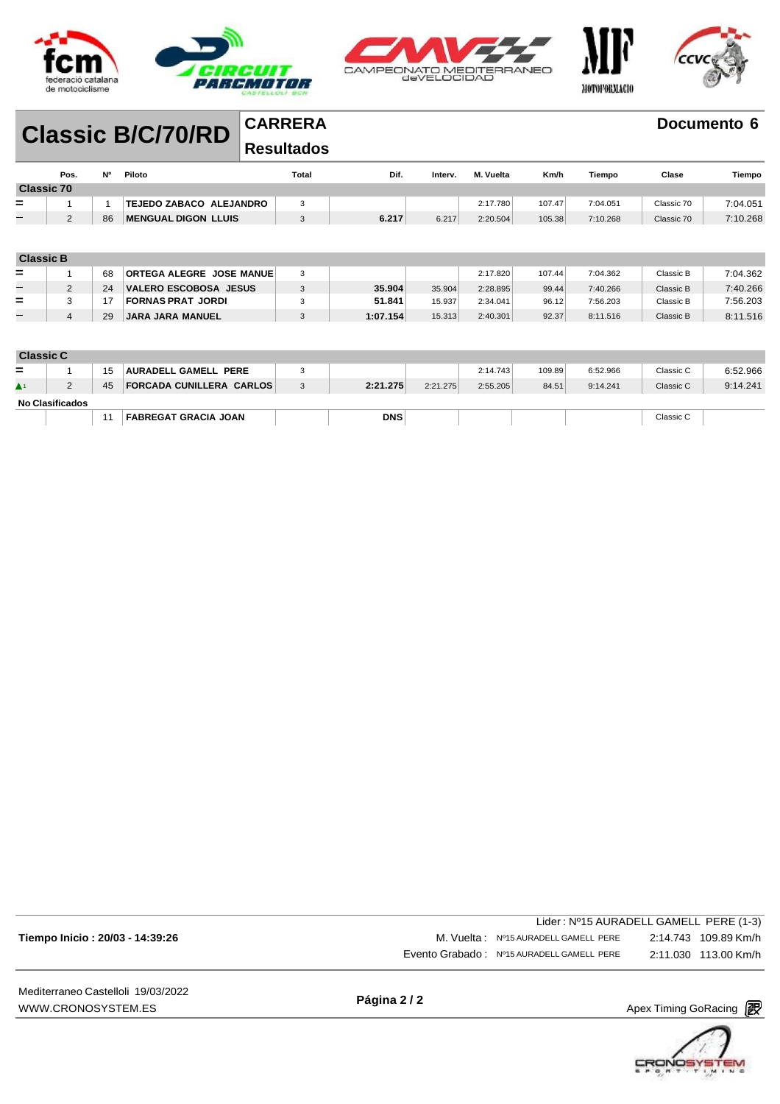





### **CARRERA Classic B/C/70/RD**

### **Resultados**

|                          | Pos.              | <b>N°</b> | Piloto                          | Total | Dif.     | Interv. | M. Vuelta | Km/h   | Tiempo   | Clase      | Tiempo   |
|--------------------------|-------------------|-----------|---------------------------------|-------|----------|---------|-----------|--------|----------|------------|----------|
|                          | <b>Classic 70</b> |           |                                 |       |          |         |           |        |          |            |          |
| $=$                      | ٠                 |           | TEJEDO ZABACO ALEJANDRO         | 3     |          |         | 2:17.780  | 107.47 | 7:04.051 | Classic 70 | 7:04.051 |
| $-$                      | 2                 | 86        | <b>MENGUAL DIGON LLUIS</b>      | 3     | 6.217    | 6.217   | 2:20.504  | 105.38 | 7:10.268 | Classic 70 | 7:10.268 |
|                          |                   |           |                                 |       |          |         |           |        |          |            |          |
|                          |                   |           |                                 |       |          |         |           |        |          |            |          |
| <b>Classic B</b>         |                   |           |                                 |       |          |         |           |        |          |            |          |
| $=$                      |                   | 68        | <b>ORTEGA ALEGRE JOSE MANUE</b> | 3     |          |         | 2:17.820  | 107.44 | 7:04.362 | Classic B  | 7:04.362 |
| -                        | 2                 | 24        | <b>VALERO ESCOBOSA JESUS</b>    | 3     | 35,904   | 35.904  | 2:28.895  | 99.44  | 7:40.266 | Classic B  | 7:40.266 |
| $=$                      | 3                 | 17        | <b>FORNAS PRAT JORDI</b>        | 3     | 51.841   | 15.937  | 2:34.041  | 96.12  | 7:56.203 | Classic B  | 7:56.203 |
| $\overline{\phantom{0}}$ | $\overline{4}$    | 29        | <b>JARA JARA MANUEL</b>         | 3     | 1:07.154 | 15.313  | 2:40.301  | 92.37  | 8:11.516 | Classic B  | 8:11.516 |
|                          |                   |           |                                 |       |          |         |           |        |          |            |          |
|                          |                   |           |                                 |       |          |         |           |        |          |            |          |

| <b>Classic C</b> |                 |    |                             |            |          |          |        |          |           |          |
|------------------|-----------------|----|-----------------------------|------------|----------|----------|--------|----------|-----------|----------|
| $=$              |                 | 15 | <b>AURADELL GAMELL PERE</b> |            |          | 2:14.743 | 109.89 | 6:52.966 | Classic C | 6:52.966 |
|                  |                 | 45 | FORCADA CUNILLERA CARLOS    | 2:21.275   | 2:21.275 | 2:55.205 | 84.51  | 9:14.241 | Classic C | 9:14.241 |
|                  | No Clasificados |    |                             |            |          |          |        |          |           |          |
|                  |                 | 11 | <b>FABREGAT GRACIA JOAN</b> | <b>DNS</b> |          |          |        |          | Classic C |          |

| Mediterraneo Castelloli 19/03/2022 | $D_1 = 0.10$ |                                           |                                        |
|------------------------------------|--------------|-------------------------------------------|----------------------------------------|
|                                    |              | Evento Grabado: Nº15 AURADELL GAMELL PERE |                                        |
| Tiempo Inicio: 20/03 - 14:39:26    |              | M. Vuelta: Nº15 AURADELL GAMELL PERE      |                                        |
|                                    |              |                                           | Lider: Nº15 AURADELL GAMELL PERE (1-3) |

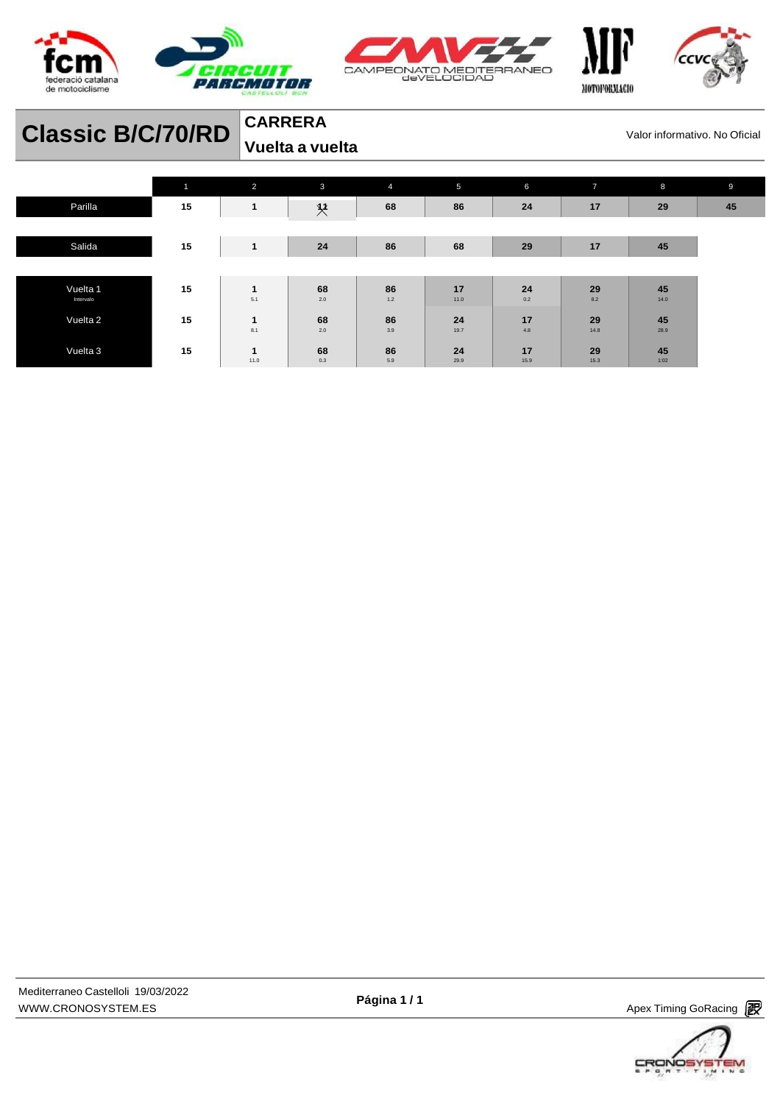





| <b>Classic B/C/70/RD</b> |              | <b>CARRERA</b><br>Valor informativo. No Oficial<br>Vuelta a vuelta |           |                |            |            |                |            |    |
|--------------------------|--------------|--------------------------------------------------------------------|-----------|----------------|------------|------------|----------------|------------|----|
|                          | $\mathbf{1}$ | $\overline{2}$                                                     | 3         | $\overline{4}$ | 5          | 6          | $\overline{7}$ | 8          | 9  |
| Parilla                  | 15           | $\mathbf{1}$                                                       | $\chi$    | 68             | 86         | 24         | 17             | 29         | 45 |
| Salida                   | 15           | $\mathbf{1}$                                                       | 24        | 86             | 68         | 29         | 17             | 45         |    |
|                          |              |                                                                    |           |                |            |            |                |            |    |
| Vuelta 1<br>Intervalo    | 15           | $\mathbf{1}$<br>5.1                                                | 68<br>2.0 | 86<br>1.2      | 17<br>11.0 | 24<br>0.2  | 29<br>8.2      | 45<br>14.0 |    |
| Vuelta 2                 | 15           | 1<br>8.1                                                           | 68<br>2.0 | 86<br>3.9      | 24<br>19.7 | 17<br>4.8  | 29<br>14.8     | 45<br>28.9 |    |
| Vuelta 3                 | 15           | 1<br>11.0                                                          | 68<br>0.3 | 86<br>5.9      | 24<br>29.9 | 17<br>15.9 | 29<br>15.3     | 45<br>1:02 |    |



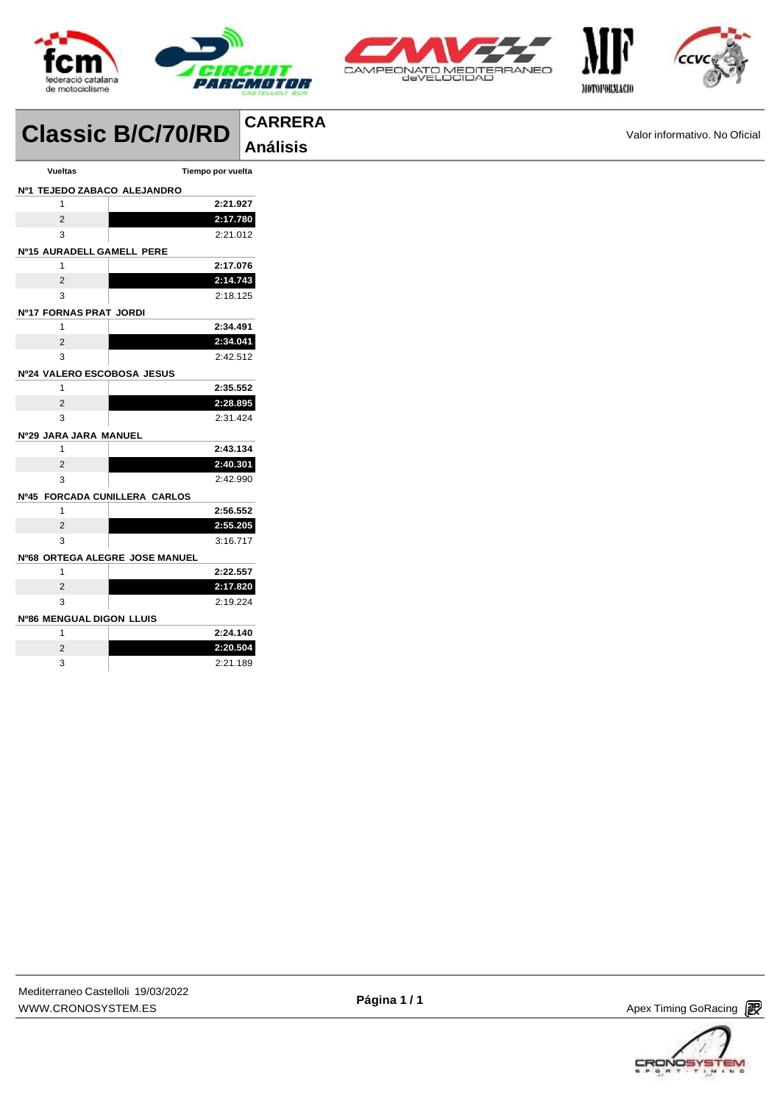





|                               | <b>Classic B/C/70/RD</b>       | <b>CARRERA</b>  |                               |
|-------------------------------|--------------------------------|-----------------|-------------------------------|
|                               |                                | <b>Análisis</b> | Valor informativo. No Oficial |
| <b>Vueltas</b>                | Tiempo por vuelta              |                 |                               |
| Nº1 TEJEDO ZABACO ALEJANDRO   |                                |                 |                               |
| $\mathbf{1}$                  | 2:21.927                       |                 |                               |
| $\overline{2}$                | 2:17.780                       |                 |                               |
| 3                             | 2:21.012                       |                 |                               |
| Nº15 AURADELL GAMELL PERE     |                                |                 |                               |
| $\mathbf{1}$                  | 2:17.076                       |                 |                               |
| $\overline{2}$                | 2:14.743                       |                 |                               |
| 3                             | 2:18.125                       |                 |                               |
| Nº17 FORNAS PRAT JORDI        |                                |                 |                               |
| $\mathbf{1}$                  | 2:34.491                       |                 |                               |
| $\overline{2}$                | 2:34.041                       |                 |                               |
| 3                             | 2:42.512                       |                 |                               |
| Nº24 VALERO ESCOBOSA JESUS    |                                |                 |                               |
| $\mathbf{1}$                  | 2:35.552                       |                 |                               |
| $\overline{2}$                | 2:28.895                       |                 |                               |
| 3                             | 2:31.424                       |                 |                               |
| Nº29 JARA JARA MANUEL         |                                |                 |                               |
| $\mathbf{1}$                  | 2:43.134                       |                 |                               |
| $\overline{2}$                | 2:40.301                       |                 |                               |
| 3                             | 2:42.990                       |                 |                               |
| Nº45 FORCADA CUNILLERA CARLOS |                                |                 |                               |
| $\mathbf{1}$                  | 2:56.552                       |                 |                               |
| $\overline{2}$                | 2:55.205                       |                 |                               |
| 3                             | 3:16.717                       |                 |                               |
|                               | Nº68 ORTEGA ALEGRE JOSE MANUEL |                 |                               |
| $\mathbf{1}$                  | 2:22.557                       |                 |                               |
| $\overline{2}$                | 2:17.820                       |                 |                               |
| 3                             | 2:19.224                       |                 |                               |
| Nº86 MENGUAL DIGON LLUIS      |                                |                 |                               |
| $\mathbf{1}$                  | 2:24.140                       |                 |                               |
| $\overline{2}$                | 2:20.504                       |                 |                               |
| 3                             | 2:21.189                       |                 |                               |



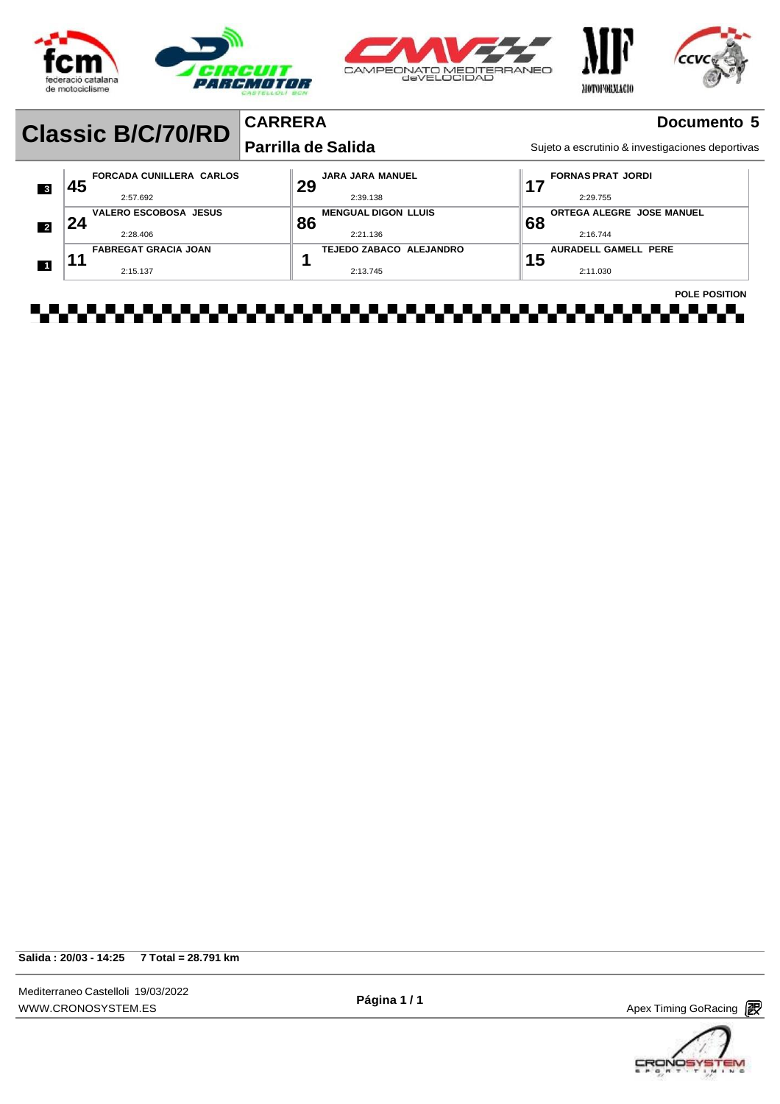





#### **CARRERA Parrilla de Salida Classic B/C/70/RD**<br> **Parrilla de Salida** Salida Sujeto a escrutinio & investigaciones deportivas

**Documento 5**

|                         |    |                                 | Farrila u <del>c</del> Jaliua |    | Sujeto a escritumno & irrestigaciónes deportivas |                      |
|-------------------------|----|---------------------------------|-------------------------------|----|--------------------------------------------------|----------------------|
| $\overline{\mathbf{3}}$ | 45 | <b>FORCADA CUNILLERA CARLOS</b> | <b>JARA JARA MANUEL</b><br>29 |    | <b>FORNAS PRAT JORDI</b>                         |                      |
|                         |    | 2:57.692                        | 2:39.138                      |    | 2:29.755                                         |                      |
|                         |    | <b>VALERO ESCOBOSA JESUS</b>    | <b>MENGUAL DIGON LLUIS</b>    |    | <b>ORTEGA ALEGRE JOSE MANUEL</b>                 |                      |
| $\overline{\mathbf{2}}$ | 24 | 2:28.406                        | 86<br>2:21.136                | 68 | 2:16.744                                         |                      |
|                         |    |                                 |                               |    |                                                  |                      |
|                         |    | <b>FABREGAT GRACIA JOAN</b>     | TEJEDO ZABACO ALEJANDRO       |    | AURADELL GAMELL PERE                             |                      |
| $\overline{1}$          |    | 2:15.137                        | 2:13.745                      | 15 | 2:11.030                                         |                      |
|                         |    |                                 |                               |    |                                                  | <b>POLE POSITION</b> |

**Salida : 20/03 - 14:25 7 Total = 28.791 km**

Mediterraneo Castelloli 19/03/2022 [WWW.CRONOSYSTEM.ES](http://www.cronosystem.es/)

**Página 1 / 1**

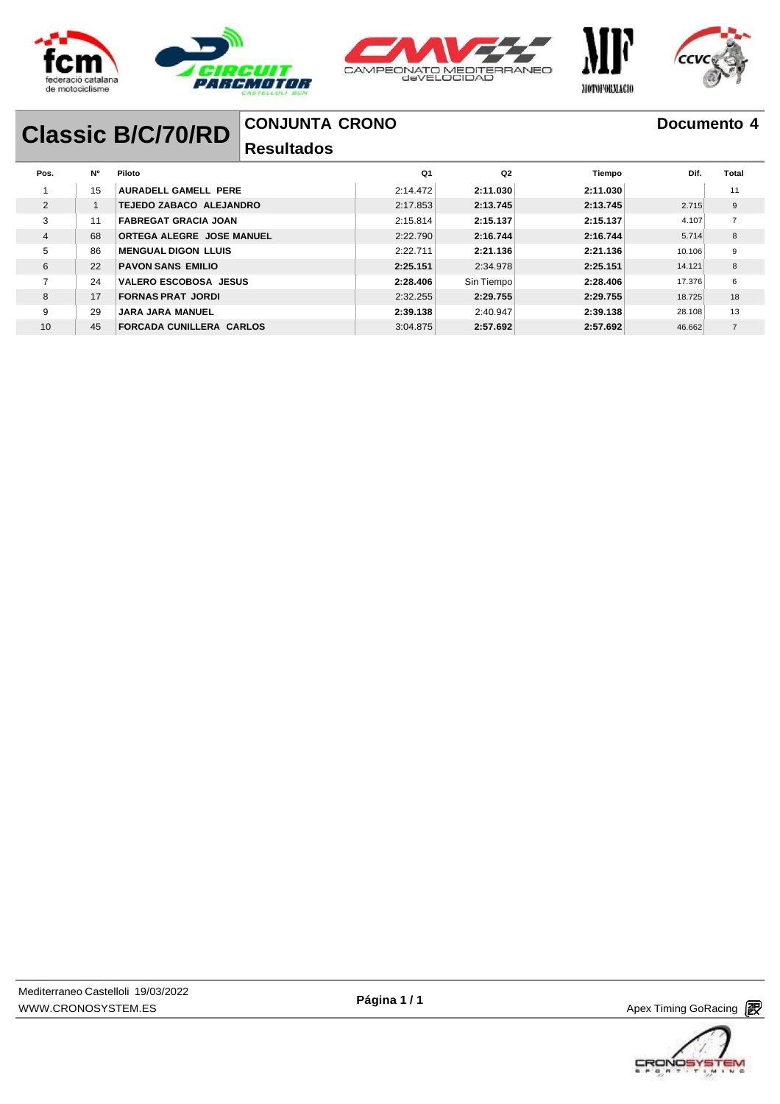





МОТОРОВЛАСЮ

### **Documento 4**

# **Classic B/C/70/RD**

### **CONJUNTA CRONO**

### **Resultados**

| Pos.           | <b>N°</b> | Piloto                          | Q <sub>1</sub> | Q <sub>2</sub> | Tiempo   | Dif.   | Total          |
|----------------|-----------|---------------------------------|----------------|----------------|----------|--------|----------------|
|                | 15        | AURADELL GAMELL PERE            | 2:14.472       | 2:11.030       | 2:11.030 |        | 11             |
| $\overline{2}$ |           | <b>TEJEDO ZABACO ALEJANDRO</b>  | 2:17.853       | 2:13.745       | 2:13.745 | 2.715  | 9              |
| 3              | 11        | <b>FABREGAT GRACIA JOAN</b>     | 2:15.814       | 2:15.137       | 2:15.137 | 4.107  | $\overline{7}$ |
| 4              | 68        | ORTEGA ALEGRE JOSE MANUEL       | 2:22.790       | 2:16.744       | 2:16.744 | 5.714  | 8              |
| 5              | 86        | <b>MENGUAL DIGON LLUIS</b>      | 2:22.711       | 2:21.136       | 2:21.136 | 10.106 | 9              |
| 6              | 22        | <b>PAVON SANS EMILIO</b>        | 2:25.151       | 2:34.978       | 2:25.151 | 14.121 | 8              |
| $\overline{ }$ | 24        | <b>VALERO ESCOBOSA JESUS</b>    | 2:28.406       | Sin Tiempo     | 2:28.406 | 17.376 | 6              |
| 8              | 17        | <b>FORNAS PRAT JORDI</b>        | 2:32.255       | 2:29.755       | 2:29.755 | 18.725 | 18             |
| 9              | 29        | <b>JARA JARA MANUEL</b>         | 2:39.138       | 2:40.947       | 2:39.138 | 28.108 | 13             |
| 10             | 45        | <b>FORCADA CUNILLERA CARLOS</b> | 3:04.875       | 2:57.692       | 2:57.692 | 46.662 | $\overline{7}$ |

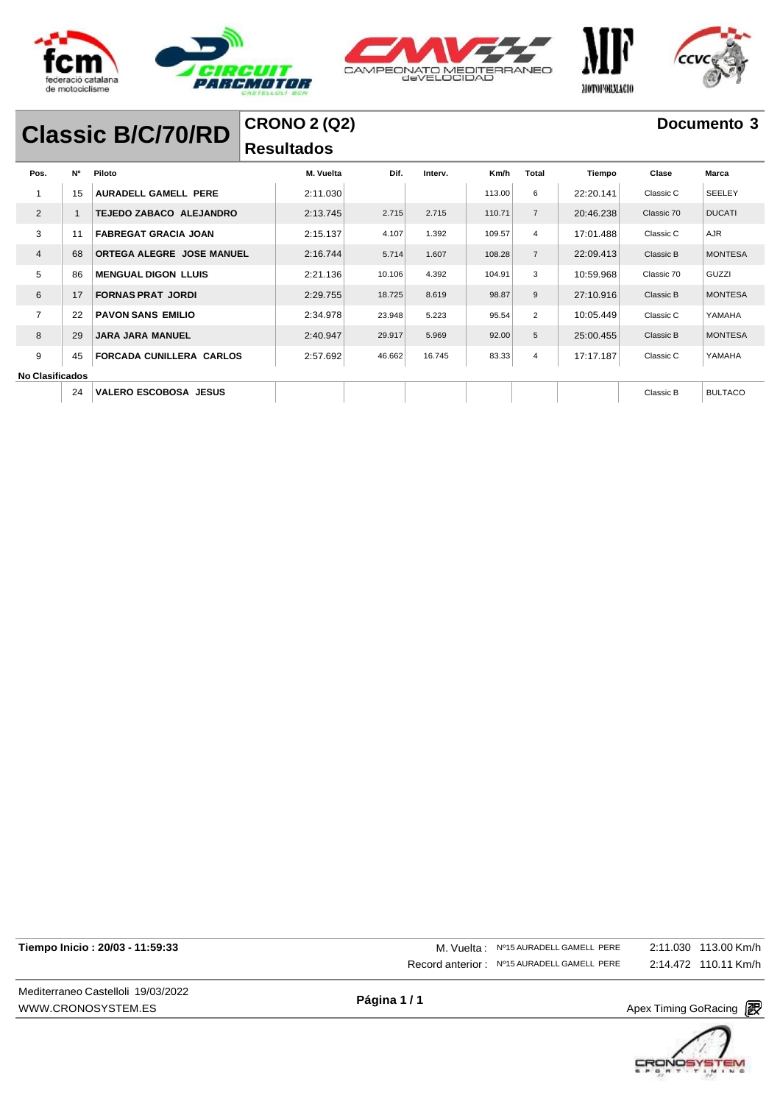





# **Classic B/C/70/RD**

### **CRONO 2 (Q2) Resultados**

| Pos.                   | <b>N°</b> | Piloto                          | M. Vuelta | Dif.   | Interv. | Km/h   | Total          | Tiempo    | Clase      | <b>Marca</b>   |
|------------------------|-----------|---------------------------------|-----------|--------|---------|--------|----------------|-----------|------------|----------------|
| 1                      | 15        | AURADELL GAMELL PERE            | 2:11.030  |        |         | 113.00 | 6              | 22:20.141 | Classic C  | <b>SEELEY</b>  |
| $\overline{2}$         | 1         | TEJEDO ZABACO ALEJANDRO         | 2:13.745  | 2.715  | 2.715   | 110.71 | $\overline{7}$ | 20:46.238 | Classic 70 | <b>DUCATI</b>  |
| 3                      | 11        | <b>FABREGAT GRACIA JOAN</b>     | 2:15.137  | 4.107  | 1.392   | 109.57 | $\overline{4}$ | 17:01.488 | Classic C  | <b>AJR</b>     |
| $\overline{4}$         | 68        | ORTEGA ALEGRE JOSE MANUEL       | 2:16.744  | 5.714  | 1.607   | 108.28 | $\overline{7}$ | 22:09.413 | Classic B  | <b>MONTESA</b> |
| 5                      | 86        | <b>MENGUAL DIGON LLUIS</b>      | 2:21.136  | 10.106 | 4.392   | 104.91 | 3              | 10:59.968 | Classic 70 | GUZZI          |
| 6                      | 17        | <b>FORNAS PRAT JORDI</b>        | 2:29.755  | 18.725 | 8.619   | 98.87  | 9              | 27:10.916 | Classic B  | <b>MONTESA</b> |
| $\overline{7}$         | 22        | <b>PAVON SANS EMILIO</b>        | 2:34.978  | 23.948 | 5.223   | 95.54  | $\overline{2}$ | 10:05.449 | Classic C  | YAMAHA         |
| 8                      | 29        | <b>JARA JARA MANUEL</b>         | 2:40.947  | 29.917 | 5.969   | 92.00  | 5              | 25:00.455 | Classic B  | <b>MONTESA</b> |
| 9                      | 45        | <b>FORCADA CUNILLERA CARLOS</b> | 2:57.692  | 46.662 | 16.745  | 83.33  | 4              | 17:17.187 | Classic C  | YAMAHA         |
| <b>No Clasificados</b> |           |                                 |           |        |         |        |                |           |            |                |
|                        | 24        | <b>VALERO ESCOBOSA JESUS</b>    |           |        |         |        |                |           | Classic B  | <b>BULTACO</b> |
|                        |           |                                 |           |        |         |        |                |           |            |                |

| Tiempo Inicio: 20/03 - 11:59:33 |  |  |  |
|---------------------------------|--|--|--|
|---------------------------------|--|--|--|

Mediterraneo Castelloli 19/03/2022 [WWW.CRONOSYSTEM.ES](http://www.cronosystem.es/)

**Tiempo Inicio : 20/03 - 11:59:33** M. Vuelta : Nº15 AURADELL GAMELL PERE Record anterior : Nº15 AURADELL GAMELL PERE 2:11.030 113.00 Km/h 2:14.472 110.11 Km/h

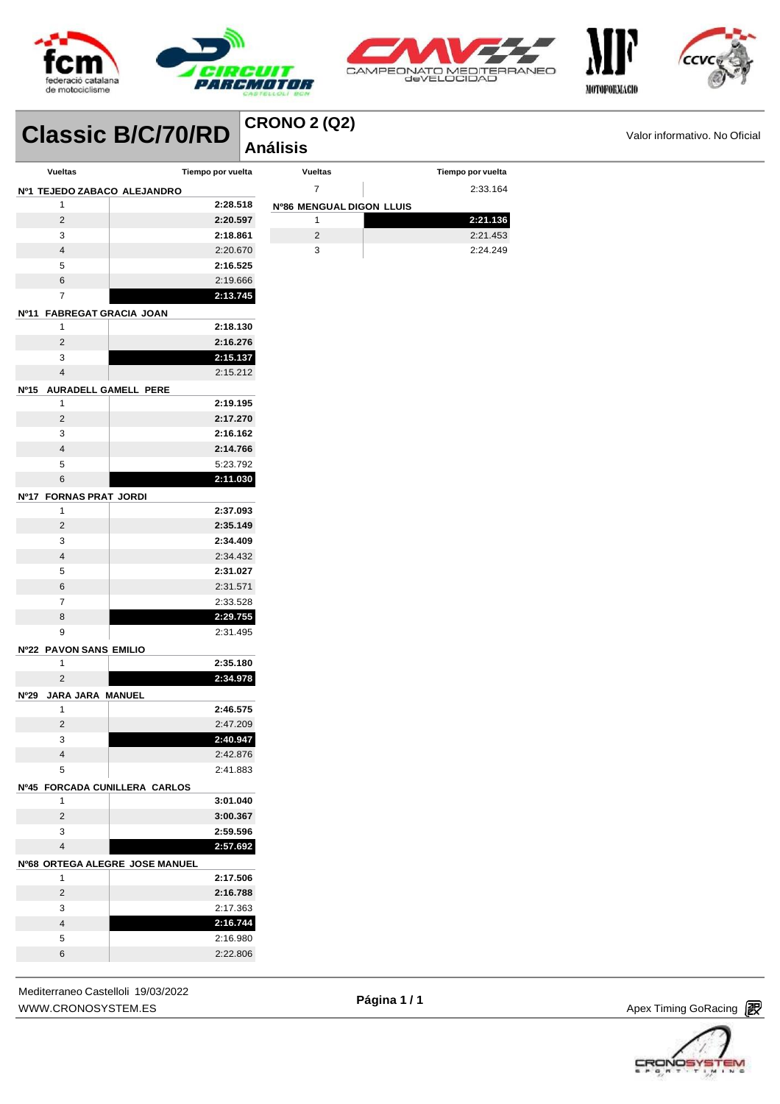



**Vueltas Tiempo por vuelta** 2:33.164

 **2:21.136** 2:21.453 2:24.249



**Classic B/C/70/RD Análisis Análisis Proposed and Set of Classic** Monormativo. No Oficial **lassic** 

### **CRONO 2 (Q2)**

**Nº86 MENGUAL DIGON LLUIS**

| <b>Vueltas</b>                  | Tiempo por vuelta               |
|---------------------------------|---------------------------------|
| Nº1 TEJEDO ZABACO ALEJANDRO     |                                 |
| 1                               | 2:28.518                        |
| $\overline{2}$                  | 2:20.597                        |
| 3                               | 2:18.861                        |
| $\overline{4}$                  | 2:20.670                        |
| 5                               | 2:16.525                        |
| 6                               | 2:19.666                        |
| 7                               | 2:13.745                        |
| Nº11                            | <b>FABREGAT GRACIA JOAN</b>     |
| 1                               | 2:18.130                        |
| $\overline{2}$                  | 2:16.276                        |
| 3                               | 2:15.137                        |
| 4                               | 2:15.212                        |
| Nº15                            | AURADELL GAMELL PERE            |
| 1                               | 2:19.195                        |
| 2                               | 2:17.270                        |
| 3                               | 2:16.162                        |
| $\overline{4}$                  | 2:14.766                        |
| 5                               | 5:23.792                        |
| 6                               | 2:11.030                        |
| Nº17 FORNAS PRAT JORDI          |                                 |
| 1                               | 2:37.093                        |
| 2                               | 2:35.149                        |
| 3                               | 2:34.409                        |
| 4                               | 2:34.432                        |
| 5                               | 2:31.027                        |
| 6                               | 2:31.571                        |
| 7                               | 2:33.528                        |
| 8                               | 2:29.755                        |
| 9                               | 2:31.495                        |
| <b>Nº22 PAVON SANS EMILIO</b>   |                                 |
| 1                               | 2:35.180                        |
| 2                               | 2:34.978                        |
| Nº29<br><b>JARA JARA MANUEL</b> |                                 |
| 1                               | 2:46.575                        |
| 2                               | 2:47.209                        |
| 3                               | 2:40.947                        |
| 4                               | 2:42.876                        |
| 5                               | 2:41.883                        |
| Nº45                            | <b>FORCADA CUNILLERA CARLOS</b> |
| 1                               | 3:01.040                        |
| 2                               | 3:00.367                        |
| 3                               | 2:59.596                        |
| 4                               | 2:57.692                        |
|                                 | Nº68 ORTEGA ALEGRE JOSE MANUEL  |
| 1                               | 2:17.506                        |
| 2                               | 2:16.788                        |
| 3                               | 2:17.363                        |
| 4                               | 2:16.744                        |
| 5                               | 2:16.980                        |
| 6                               | 2:22.806                        |
|                                 |                                 |

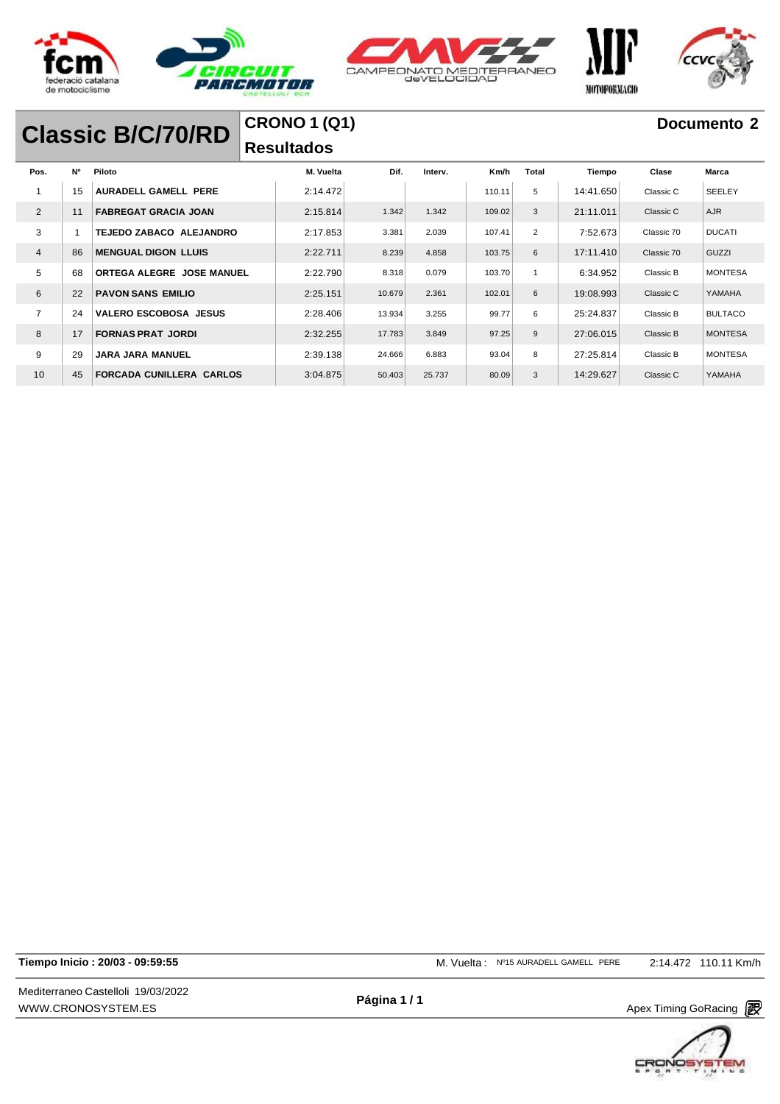





# **Classic B/C/70/RD**

### **CRONO 1 (Q1) Resultados**

| Pos.           | <b>N°</b> | Piloto                          | M. Vuelta | Dif.   | Interv. | Km/h   | <b>Total</b>   | Tiempo    | Clase      | Marca          |
|----------------|-----------|---------------------------------|-----------|--------|---------|--------|----------------|-----------|------------|----------------|
|                | 15        | AURADELL GAMELL PERE            | 2:14.472  |        |         | 110.11 | 5              | 14:41.650 | Classic C  | <b>SEELEY</b>  |
| $\overline{2}$ | 11        | <b>FABREGAT GRACIA JOAN</b>     | 2:15.814  | 1.342  | 1.342   | 109.02 | 3              | 21:11.011 | Classic C  | <b>AJR</b>     |
| 3              |           | TEJEDO ZABACO ALEJANDRO         | 2:17.853  | 3.381  | 2.039   | 107.41 | $\overline{2}$ | 7:52.673  | Classic 70 | <b>DUCATI</b>  |
| $\overline{4}$ | 86        | <b>MENGUAL DIGON LLUIS</b>      | 2:22.711  | 8.239  | 4.858   | 103.75 | 6              | 17:11.410 | Classic 70 | GUZZI          |
| 5              | 68        | ORTEGA ALEGRE JOSE MANUEL       | 2:22.790  | 8.318  | 0.079   | 103.70 | $\overline{1}$ | 6:34.952  | Classic B  | <b>MONTESA</b> |
| 6              | 22        | <b>PAVON SANS EMILIO</b>        | 2:25.151  | 10.679 | 2.361   | 102.01 | 6              | 19:08.993 | Classic C  | YAMAHA         |
| 7              | 24        | <b>VALERO ESCOBOSA JESUS</b>    | 2:28.406  | 13.934 | 3.255   | 99.77  | 6              | 25:24.837 | Classic B  | <b>BULTACO</b> |
| 8              | 17        | <b>FORNAS PRAT JORDI</b>        | 2:32.255  | 17.783 | 3.849   | 97.25  | 9              | 27:06.015 | Classic B  | <b>MONTESA</b> |
| 9              | 29        | <b>JARA JARA MANUEL</b>         | 2:39.138  | 24.666 | 6.883   | 93.04  | 8              | 27:25.814 | Classic B  | <b>MONTESA</b> |
| 10             | 45        | <b>FORCADA CUNILLERA CARLOS</b> | 3:04.875  | 50.403 | 25.737  | 80.09  | 3              | 14:29.627 | Classic C  | YAMAHA         |

**Tiempo Inicio : 20/03 - 09:59:55** M. Vuelta : Nº15 AURADELL GAMELL PERE 2:14.472 110.11 Km/h

Mediterraneo Castelloli 19/03/2022 [WWW.CRONOSYSTEM.ES](http://www.cronosystem.es/)

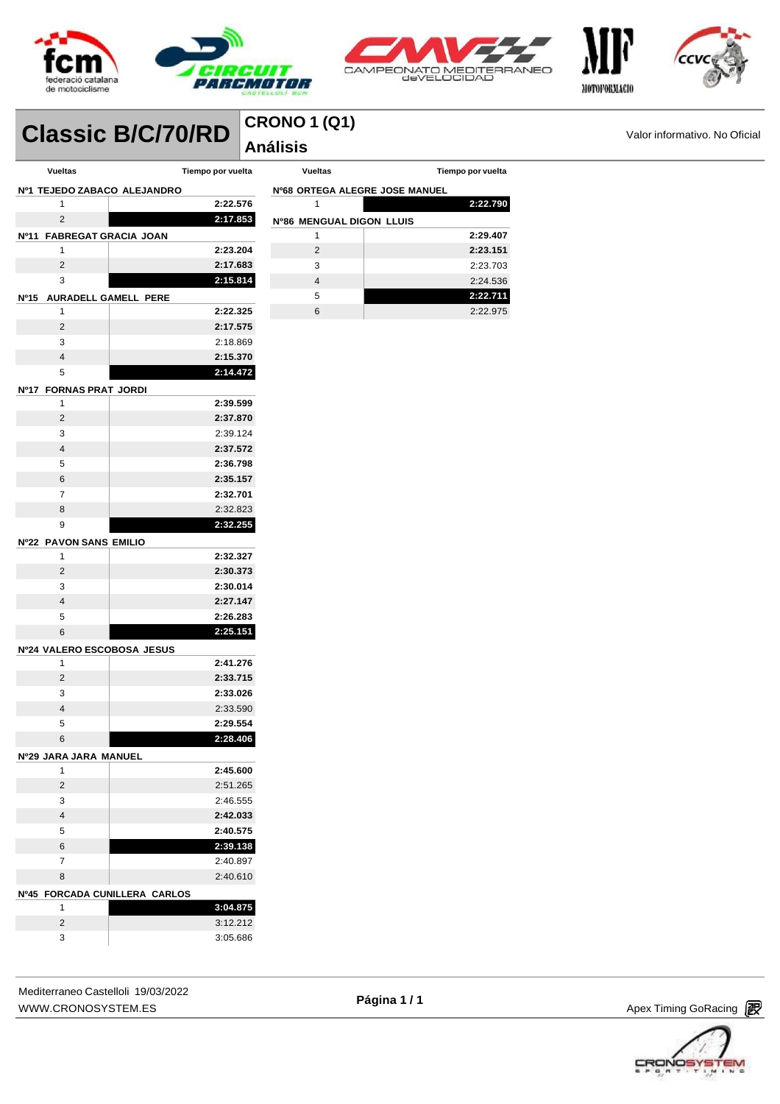



**Vueltas Tiempo por vuelta**

**2:22.790**

 **2:29.407 2:23.151** 2:23.703 2:24.536 **2:22.711** 2:22.975

**Nº68 ORTEGA ALEGRE JOSE MANUEL**

**Nº86 MENGUAL DIGON LLUIS**



# **Classic B/C/70/RD Análisis Análisis Propose Classic** B/C/70/RD **Análisis Análisis Propose Classic Mondative. No Oficial**

## **CRONO 1 (Q1)**

| <b>Vueltas</b>                      | Tiempo por vuelta                    |
|-------------------------------------|--------------------------------------|
| <b>Nº1 TEJEDO ZABACO ALEJANDRO</b>  |                                      |
| 1                                   | 2:22.576                             |
| $\overline{2}$                      | 2:17.853                             |
| Nº11<br><b>FABREGAT GRACIA JOAN</b> |                                      |
| 1                                   | 2:23.204                             |
| 2                                   | 2:17.683                             |
| 3                                   | 2:15.814                             |
| AURADELL GAMELL PERE<br><b>Nº15</b> |                                      |
| 1                                   | 2:22.325                             |
| 2                                   | 2:17.575                             |
| 3                                   | 2:18.869                             |
| 4                                   | 2:15.370                             |
| 5                                   | 2:14.472                             |
| <b>FORNAS PRAT JORDI</b><br>Nº17    |                                      |
| 1                                   | 2:39.599                             |
| 2                                   | 2:37.870                             |
| 3                                   | 2:39.124                             |
| $\overline{4}$                      | 2:37.572                             |
| 5                                   | 2:36.798                             |
| 6                                   | 2:35.157                             |
| 7                                   | 2:32.701                             |
| 8                                   | 2:32.823                             |
| 9                                   | 2:32.255                             |
| <b>Nº22 PAVON SANS EMILIO</b>       |                                      |
| 1                                   | 2:32.327                             |
| 2                                   | 2:30.373                             |
| 3                                   | 2:30.014                             |
| 4                                   | 2:27.147                             |
| 5                                   | 2:26.283                             |
| 6                                   | 2:25.151                             |
| Nº24 VALERO ESCOBOSA JESUS          |                                      |
| 1                                   | 2:41.276                             |
| 2                                   | 2:33.715                             |
| 3<br>$\overline{4}$                 | 2:33.026                             |
| 5                                   | 2:33.590<br>2:29.554                 |
| 6                                   | 2:28.406                             |
|                                     |                                      |
| Nº29 JARA JARA MANUEL<br>1          | 2:45.600                             |
| 2                                   | 2:51.265                             |
| 3                                   | 2:46.555                             |
| 4                                   | 2:42.033                             |
| 5                                   | 2:40.575                             |
| 6                                   | 2:39.138                             |
| 7                                   | 2:40.897                             |
| 8                                   | 2:40.610                             |
| Nº45                                |                                      |
| 1                                   | FORCADA CUNILLERA CARLOS<br>3:04.875 |
| 2                                   | 3:12.212                             |
| 3                                   | 3:05.686                             |
|                                     |                                      |

| Mediterraneo Castelloli 19/03/2022 |  |
|------------------------------------|--|
| WWW.CRONOSYSTEM.ES                 |  |



| CRON |  |  |  |
|------|--|--|--|
|      |  |  |  |

Apex Timing GoRacing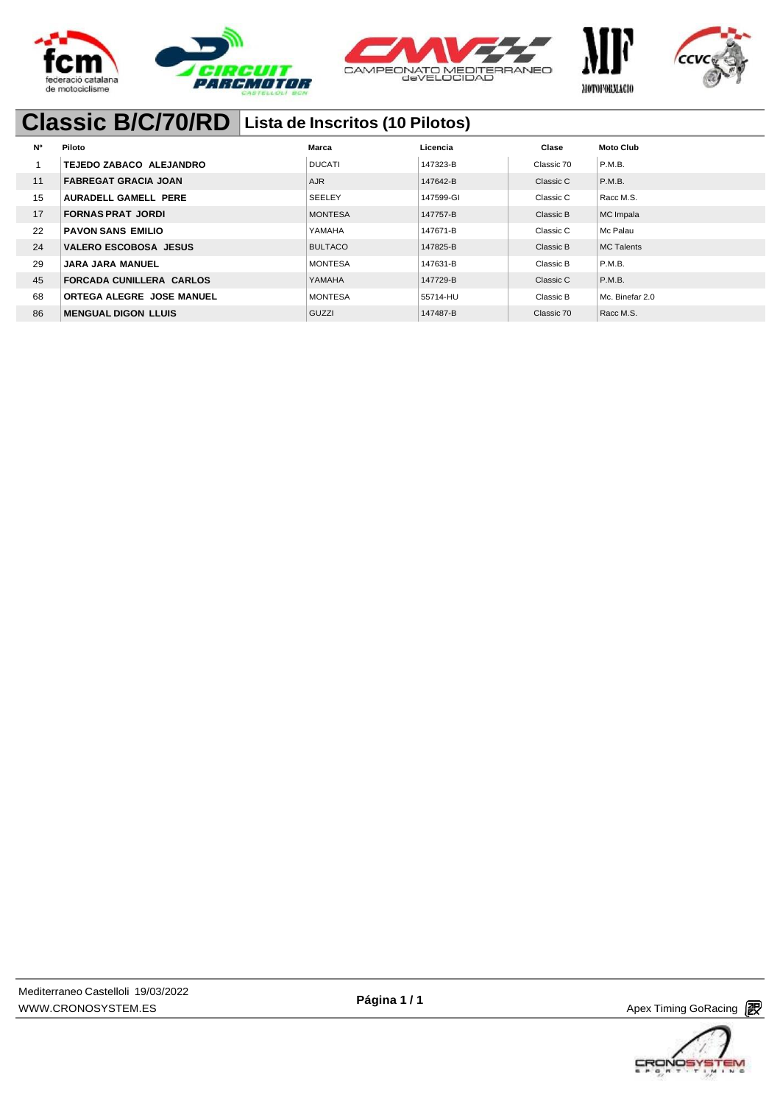





МОТОРОВЛАСЮ

## **Classic B/C/70/RD Lista de Inscritos (10 Pilotos)**

| <b>N°</b> | Piloto                           | Marca          | Licencia  | Clase      | <b>Moto Club</b>  |
|-----------|----------------------------------|----------------|-----------|------------|-------------------|
|           | TEJEDO ZABACO ALEJANDRO          | <b>DUCATI</b>  | 147323-B  | Classic 70 | P.M.B.            |
| 11        | <b>FABREGAT GRACIA JOAN</b>      | <b>AJR</b>     | 147642-B  | Classic C  | P.M.B.            |
| 15        | AURADELL GAMELL PERE             | <b>SEELEY</b>  | 147599-GI | Classic C  | Racc M.S.         |
| 17        | <b>FORNAS PRAT JORDI</b>         | <b>MONTESA</b> | 147757-B  | Classic B  | MC Impala         |
| 22        | PAVON SANS EMILIO                | YAMAHA         | 147671-B  | Classic C  | Mc Palau          |
| 24        | <b>VALERO ESCOBOSA JESUS</b>     | <b>BULTACO</b> | 147825-B  | Classic B  | <b>MC Talents</b> |
| 29        | <b>JARA JARA MANUEL</b>          | <b>MONTESA</b> | 147631-B  | Classic B  | P.M.B.            |
| 45        | <b>FORCADA CUNILLERA CARLOS</b>  | YAMAHA         | 147729-B  | Classic C  | P.M.B.            |
| 68        | <b>ORTEGA ALEGRE JOSE MANUEL</b> | <b>MONTESA</b> | 55714-HU  | Classic B  | Mc. Binefar 2.0   |
| 86        | <b>MENGUAL DIGON LLUIS</b>       | GUZZI          | 147487-B  | Classic 70 | Racc M.S.         |



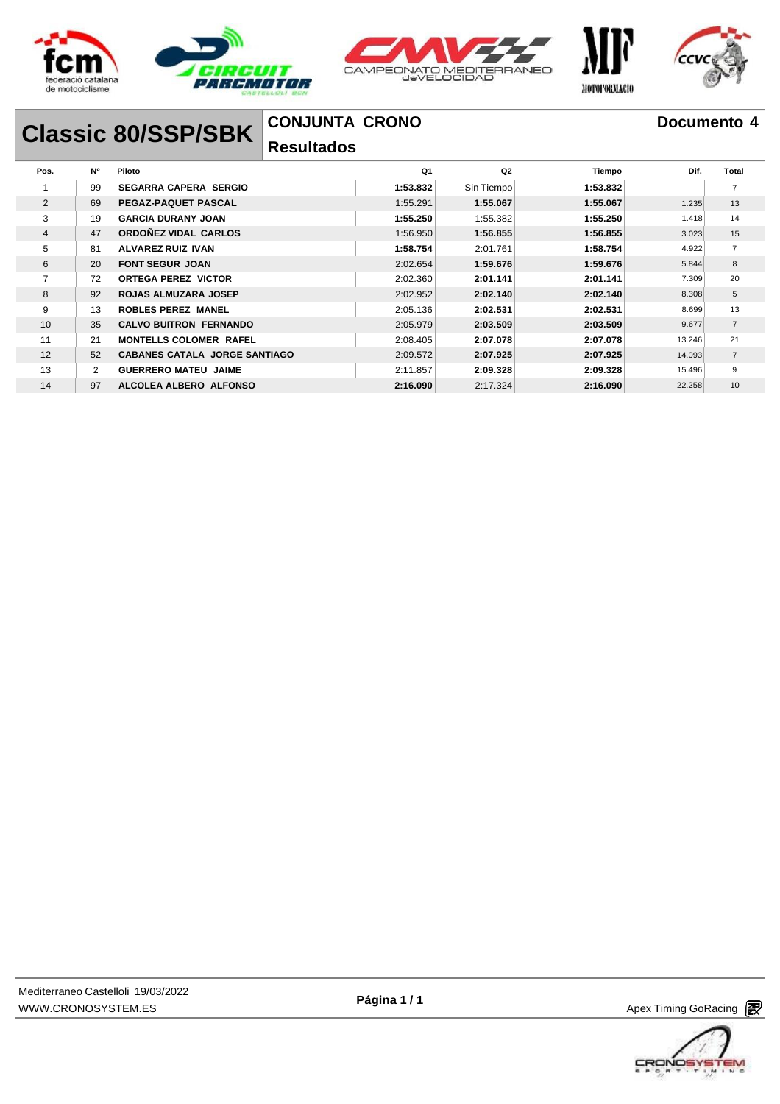





# **Classic 80/SSP/SBK**

### **CONJUNTA CRONO**

### **Resultados**

| Pos.           | <b>N°</b>      | Piloto                               | Q <sub>1</sub> | Q2         | Tiempo   | Dif.   | <b>Total</b>   |
|----------------|----------------|--------------------------------------|----------------|------------|----------|--------|----------------|
|                | 99             | <b>SEGARRA CAPERA SERGIO</b>         | 1:53.832       | Sin Tiempo | 1:53.832 |        |                |
| 2              | 69             | PEGAZ-PAQUET PASCAL                  | 1:55.291       | 1:55.067   | 1:55.067 | 1.235  | 13             |
| 3              | 19             | <b>GARCIA DURANY JOAN</b>            | 1:55.250       | 1:55.382   | 1:55.250 | 1.418  | 14             |
| $\overline{4}$ | 47             | ORDOÑEZ VIDAL CARLOS                 | 1:56.950       | 1:56.855   | 1:56.855 | 3.023  | 15             |
| 5              | 81             | ALVAREZ RUIZ IVAN                    | 1:58.754       | 2:01.761   | 1:58.754 | 4.922  | $\overline{7}$ |
| 6              | 20             | <b>FONT SEGUR JOAN</b>               | 2:02.654       | 1:59.676   | 1:59.676 | 5.844  | 8              |
| $\overline{7}$ | 72             | <b>ORTEGA PEREZ VICTOR</b>           | 2:02.360       | 2:01.141   | 2:01.141 | 7.309  | 20             |
| 8              | 92             | <b>ROJAS ALMUZARA JOSEP</b>          | 2:02.952       | 2:02.140   | 2:02.140 | 8.308  | 5              |
| 9              | 13             | <b>ROBLES PEREZ MANEL</b>            | 2:05.136       | 2:02.531   | 2:02.531 | 8.699  | 13             |
| 10             | 35             | <b>CALVO BUITRON FERNANDO</b>        | 2:05.979       | 2:03.509   | 2:03.509 | 9.677  | $\overline{7}$ |
| 11             | 21             | <b>MONTELLS COLOMER RAFEL</b>        | 2:08.405       | 2:07.078   | 2:07.078 | 13.246 | 21             |
| 12             | 52             | <b>CABANES CATALA JORGE SANTIAGO</b> | 2:09.572       | 2:07.925   | 2:07.925 | 14.093 | $\overline{7}$ |
| 13             | $\overline{2}$ | <b>GUERRERO MATEU JAIME</b>          | 2:11.857       | 2:09.328   | 2:09.328 | 15.496 | 9              |
| 14             | 97             | ALCOLEA ALBERO ALFONSO               | 2:16.090       | 2:17.324   | 2:16.090 | 22.258 | 10             |



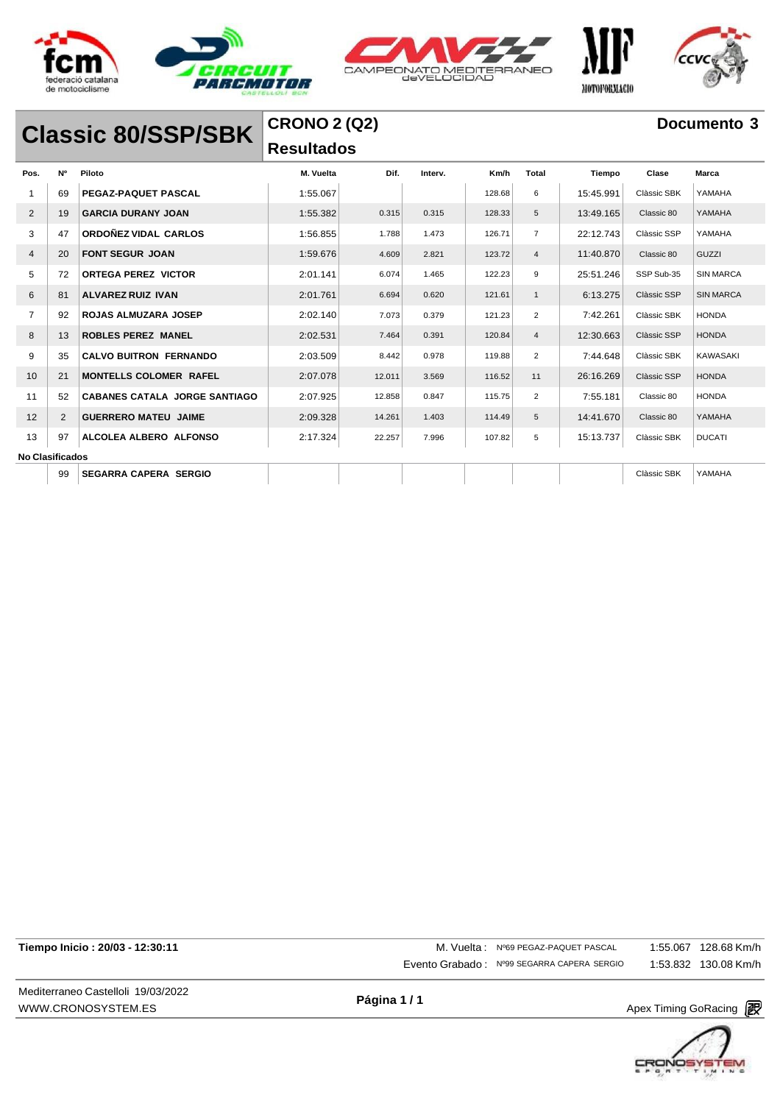





## **Classic 80/SSP/SBK**

### **CRONO 2 (Q2) Resultados**

| Pos.                   | N° | Piloto                               | M. Vuelta | Dif.   | Interv. | Km/h   | <b>Total</b>   | Tiempo    | Clase       | Marca            |
|------------------------|----|--------------------------------------|-----------|--------|---------|--------|----------------|-----------|-------------|------------------|
|                        | 69 | <b>PEGAZ-PAQUET PASCAL</b>           | 1:55.067  |        |         | 128.68 | 6              | 15:45.991 | Clàssic SBK | YAMAHA           |
| 2                      | 19 | <b>GARCIA DURANY JOAN</b>            | 1:55.382  | 0.315  | 0.315   | 128.33 | 5              | 13:49.165 | Classic 80  | YAMAHA           |
| 3                      | 47 | ORDOÑEZ VIDAL CARLOS                 | 1:56.855  | 1.788  | 1.473   | 126.71 | $\overline{7}$ | 22:12.743 | Clàssic SSP | YAMAHA           |
| $\overline{4}$         | 20 | <b>FONT SEGUR JOAN</b>               | 1:59.676  | 4.609  | 2.821   | 123.72 | $\overline{4}$ | 11:40.870 | Classic 80  | <b>GUZZI</b>     |
| 5                      | 72 | <b>ORTEGA PEREZ VICTOR</b>           | 2:01.141  | 6.074  | 1.465   | 122.23 | 9              | 25:51.246 | SSP Sub-35  | <b>SIN MARCA</b> |
| 6                      | 81 | <b>ALVAREZ RUIZ IVAN</b>             | 2:01.761  | 6.694  | 0.620   | 121.61 | $\mathbf{1}$   | 6:13.275  | Clàssic SSP | <b>SIN MARCA</b> |
| $\overline{7}$         | 92 | <b>ROJAS ALMUZARA JOSEP</b>          | 2:02.140  | 7.073  | 0.379   | 121.23 | $\overline{2}$ | 7:42.261  | Clàssic SBK | <b>HONDA</b>     |
| 8                      | 13 | <b>ROBLES PEREZ MANEL</b>            | 2:02.531  | 7.464  | 0.391   | 120.84 | $\overline{4}$ | 12:30.663 | Clàssic SSP | <b>HONDA</b>     |
| 9                      | 35 | <b>CALVO BUITRON FERNANDO</b>        | 2:03.509  | 8.442  | 0.978   | 119.88 | $\overline{2}$ | 7:44.648  | Clàssic SBK | <b>KAWASAKI</b>  |
| 10                     | 21 | <b>MONTELLS COLOMER RAFEL</b>        | 2:07.078  | 12.011 | 3.569   | 116.52 | 11             | 26:16.269 | Clàssic SSP | <b>HONDA</b>     |
| 11                     | 52 | <b>CABANES CATALA JORGE SANTIAGO</b> | 2:07.925  | 12.858 | 0.847   | 115.75 | $\overline{2}$ | 7:55.181  | Classic 80  | <b>HONDA</b>     |
| 12                     | 2  | <b>GUERRERO MATEU JAIME</b>          | 2:09.328  | 14.261 | 1.403   | 114.49 | 5              | 14:41.670 | Classic 80  | YAMAHA           |
| 13                     | 97 | ALCOLEA ALBERO ALFONSO               | 2:17.324  | 22.257 | 7.996   | 107.82 | 5              | 15:13.737 | Clàssic SBK | <b>DUCATI</b>    |
| <b>No Clasificados</b> |    |                                      |           |        |         |        |                |           |             |                  |
|                        | 99 | <b>SEGARRA CAPERA SERGIO</b>         |           |        |         |        |                |           | Clàssic SBK | YAMAHA           |

Mediterraneo Castelloli 19/03/2022 [WWW.CRONOSYSTEM.ES](http://www.cronosystem.es/)

**Tiempo Inicio : 20/03 - 12:30:11** M. Vuelta : Nº69 PEGAZ-PAQUET PASCAL Evento Grabado : Nº99 SEGARRA CAPERA SERGIO 1:55.067 128.68 Km/h 1:53.832 130.08 Km/h

**Página 1 / 1**

Apex Timing GoRacing 2

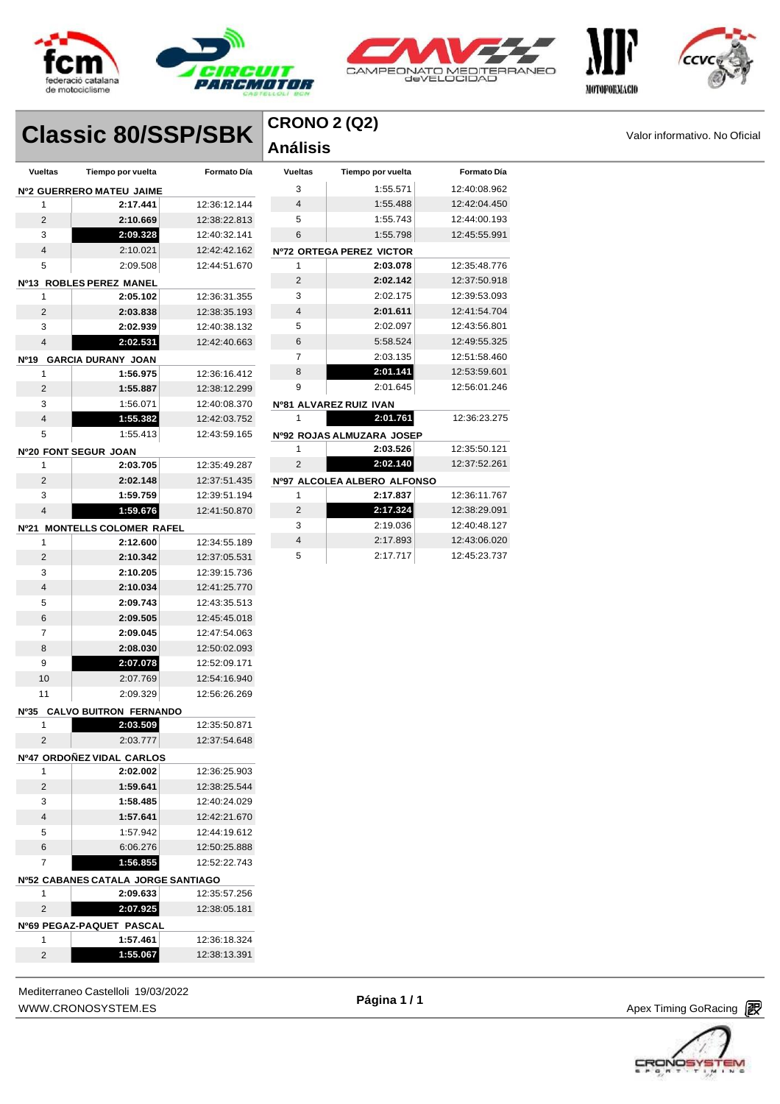





# **Classic 80/SSP/SBK**  $\begin{bmatrix} \text{CRONO 2 (Q2)} \\ \text{Análisis} \end{bmatrix}$

| <b>CRONO 2 (Q2)</b> |  |
|---------------------|--|
| Análisis            |  |

| <b>Vueltas</b> | Tiempo por vuelta                  | Formato Día  | <b>Vueltas</b> | Tiempo por vuelta           | <b>Formato Día</b> |
|----------------|------------------------------------|--------------|----------------|-----------------------------|--------------------|
|                | Nº2 GUERRERO MATEU JAIME           |              | 3              | 1:55.571                    | 12:40:08.962       |
| 1              | 2:17.441                           | 12:36:12.144 | 4              | 1:55.488                    | 12:42:04.450       |
| $\overline{c}$ | 2:10.669                           | 12:38:22.813 | 5              | 1:55.743                    | 12:44:00.193       |
| 3              | 2:09.328                           | 12:40:32.141 | 6              | 1:55.798                    | 12:45:55.991       |
| 4              | 2:10.021                           | 12:42:42.162 |                | Nº72 ORTEGA PEREZ VICTOR    |                    |
| 5              | 2:09.508                           | 12:44:51.670 | 1              | 2:03.078                    | 12:35:48.776       |
|                | Nº13 ROBLES PEREZ MANEL            |              | 2              | 2:02.142                    | 12:37:50.918       |
| 1              | 2:05.102                           | 12:36:31.355 | 3              | 2:02.175                    | 12:39:53.093       |
| $\overline{2}$ | 2:03.838                           | 12:38:35.193 | 4              | 2:01.611                    | 12:41:54.704       |
| 3              | 2:02.939                           | 12:40:38.132 | 5              | 2:02.097                    | 12:43:56.801       |
| 4              | 2:02.531                           | 12:42:40.663 | 6              | 5:58.524                    | 12:49:55.325       |
|                | Nº19 GARCIA DURANY JOAN            |              | $\overline{7}$ | 2:03.135                    | 12:51:58.460       |
| 1              | 1:56.975                           | 12:36:16.412 | 8              | 2:01.141                    | 12:53:59.601       |
| $\overline{c}$ | 1:55.887                           | 12:38:12.299 | 9              | 2:01.645                    | 12:56:01.246       |
| 3              | 1:56.071                           | 12:40:08.370 |                | Nº81 ALVAREZ RUIZ IVAN      |                    |
| 4              | 1:55.382                           | 12:42:03.752 | 1              | 2:01.761                    | 12:36:23.275       |
| 5              | 1:55.413                           | 12:43:59.165 |                | Nº92 ROJAS ALMUZARA JOSEP   |                    |
|                | Nº20 FONT SEGUR JOAN               |              | 1              | 2:03.526                    | 12:35:50.121       |
| 1              | 2:03.705                           | 12:35:49.287 | 2              | 2:02.140                    | 12:37:52.261       |
| $\overline{2}$ | 2:02.148                           | 12:37:51.435 |                | Nº97 ALCOLEA ALBERO ALFONSO |                    |
| 3              | 1:59.759                           | 12:39:51.194 | 1              | 2:17.837                    | 12:36:11.767       |
| 4              | 1:59.676                           | 12:41:50.870 | 2              | 2:17.324                    | 12:38:29.091       |
|                | Nº21 MONTELLS COLOMER RAFEL        |              | 3              | 2:19.036                    | 12:40:48.127       |
| 1              | 2:12.600                           | 12:34:55.189 | 4              | 2:17.893                    | 12:43:06.020       |
| $\overline{2}$ | 2:10.342                           | 12:37:05.531 | 5              | 2:17.717                    | 12:45:23.737       |
| 3              | 2:10.205                           | 12:39:15.736 |                |                             |                    |
| 4              | 2:10.034                           | 12:41:25.770 |                |                             |                    |
| 5              | 2:09.743                           | 12:43:35.513 |                |                             |                    |
| 6              | 2:09.505                           | 12:45:45.018 |                |                             |                    |
| 7              | 2:09.045                           | 12:47:54.063 |                |                             |                    |
| 8              | 2:08.030                           | 12:50:02.093 |                |                             |                    |
| 9              | 2:07.078                           | 12:52:09.171 |                |                             |                    |
| 10             | 2:07.769                           | 12:54:16.940 |                |                             |                    |
| 11             | 2:09.329                           | 12:56:26.269 |                |                             |                    |
|                | Nº35 CALVO BUITRON FERNANDO        |              |                |                             |                    |
| 1              | 2:03.509                           | 12:35:50.871 |                |                             |                    |
| $\overline{2}$ | 2:03.777                           | 12:37:54.648 |                |                             |                    |
|                | Nº47 ORDONEZ VIDAL CARLOS          |              |                |                             |                    |
| 1              | 2:02.002                           | 12:36:25.903 |                |                             |                    |
| 2              | 1:59.641                           | 12:38:25.544 |                |                             |                    |
| 3              | 1:58.485                           | 12:40:24.029 |                |                             |                    |
| 4              | 1:57.641                           | 12:42:21.670 |                |                             |                    |
| 5              | 1:57.942                           | 12:44:19.612 |                |                             |                    |
| 6              | 6:06.276                           | 12:50:25.888 |                |                             |                    |
| 7              | 1:56.855                           | 12:52:22.743 |                |                             |                    |
|                | Nº52 CABANES CATALA JORGE SANTIAGO |              |                |                             |                    |
| 1              | 2:09.633                           | 12:35:57.256 |                |                             |                    |
| 2              | 2:07.925                           | 12:38:05.181 |                |                             |                    |
|                | Nº69 PEGAZ-PAQUET PASCAL           |              |                |                             |                    |
| 1              | 1:57.461                           | 12:36:18.324 |                |                             |                    |
| $\overline{2}$ | 1:55.067                           | 12:38:13.391 |                |                             |                    |



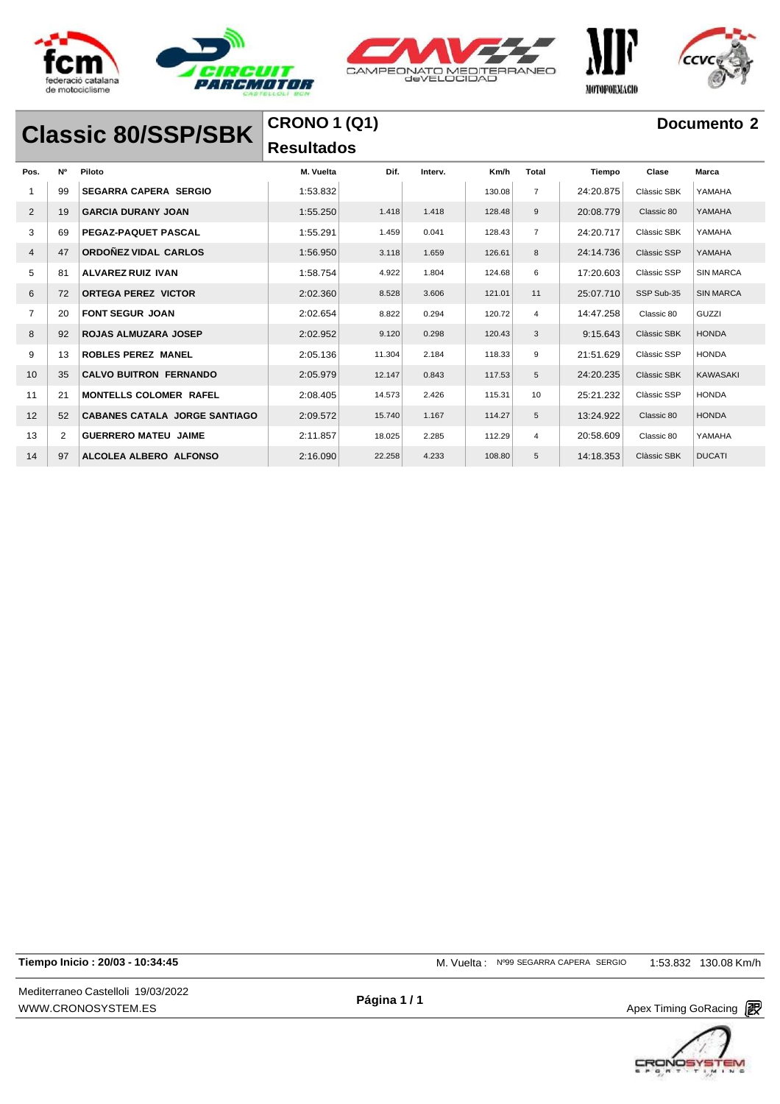







**Classic 80/SSP/SBK**

## **CRONO 1 (Q1) Resultados**

### **Documento 2**

| Pos.           | <b>N°</b>      | Piloto                               | M. Vuelta | Dif.   | Interv. | Km/h   | Total          | Tiempo    | Clase       | Marca            |
|----------------|----------------|--------------------------------------|-----------|--------|---------|--------|----------------|-----------|-------------|------------------|
|                | 99             | <b>SEGARRA CAPERA SERGIO</b>         | 1:53.832  |        |         | 130.08 | $\overline{7}$ | 24:20.875 | Clàssic SBK | YAMAHA           |
| 2              | 19             | <b>GARCIA DURANY JOAN</b>            | 1:55.250  | 1.418  | 1.418   | 128.48 | 9              | 20:08.779 | Classic 80  | YAMAHA           |
| 3              | 69             | PEGAZ-PAQUET PASCAL                  | 1:55.291  | 1.459  | 0.041   | 128.43 | $\overline{7}$ | 24:20.717 | Clàssic SBK | YAMAHA           |
| $\overline{4}$ | 47             | ORDOÑEZ VIDAL CARLOS                 | 1:56.950  | 3.118  | 1.659   | 126.61 | 8              | 24:14.736 | Clàssic SSP | YAMAHA           |
| 5              | 81             | <b>ALVAREZ RUIZ IVAN</b>             | 1:58.754  | 4.922  | 1.804   | 124.68 | 6              | 17:20.603 | Clàssic SSP | <b>SIN MARCA</b> |
| 6              | 72             | <b>ORTEGA PEREZ VICTOR</b>           | 2:02.360  | 8.528  | 3.606   | 121.01 | 11             | 25:07.710 | SSP Sub-35  | <b>SIN MARCA</b> |
| $\overline{7}$ | 20             | <b>FONT SEGUR JOAN</b>               | 2:02.654  | 8.822  | 0.294   | 120.72 | $\overline{4}$ | 14:47.258 | Classic 80  | GUZZI            |
| 8              | 92             | <b>ROJAS ALMUZARA JOSEP</b>          | 2:02.952  | 9.120  | 0.298   | 120.43 | 3              | 9:15.643  | Clàssic SBK | <b>HONDA</b>     |
| 9              | 13             | <b>ROBLES PEREZ MANEL</b>            | 2:05.136  | 11.304 | 2.184   | 118.33 | 9              | 21:51.629 | Clàssic SSP | <b>HONDA</b>     |
| 10             | 35             | <b>CALVO BUITRON FERNANDO</b>        | 2:05.979  | 12.147 | 0.843   | 117.53 | 5              | 24:20.235 | Clàssic SBK | <b>KAWASAKI</b>  |
| 11             | 21             | <b>MONTELLS COLOMER RAFEL</b>        | 2:08.405  | 14.573 | 2.426   | 115.31 | 10             | 25:21.232 | Clàssic SSP | <b>HONDA</b>     |
| 12             | 52             | <b>CABANES CATALA JORGE SANTIAGO</b> | 2:09.572  | 15.740 | 1.167   | 114.27 | 5              | 13:24.922 | Classic 80  | <b>HONDA</b>     |
| 13             | $\overline{2}$ | <b>GUERRERO MATEU JAIME</b>          | 2:11.857  | 18.025 | 2.285   | 112.29 | $\overline{4}$ | 20:58.609 | Classic 80  | YAMAHA           |
| 14             | 97             | ALCOLEA ALBERO ALFONSO               | 2:16.090  | 22.258 | 4.233   | 108.80 | 5              | 14:18.353 | Clàssic SBK | <b>DUCATI</b>    |

**Tiempo Inicio : 20/03 - 10:34:45** M. Vuelta : Nº99 SEGARRA CAPERA SERGIO 1:53.832 130.08 Km/h

Mediterraneo Castelloli 19/03/2022 [WWW.CRONOSYSTEM.ES](http://www.cronosystem.es/)

**Página 1 / 1**

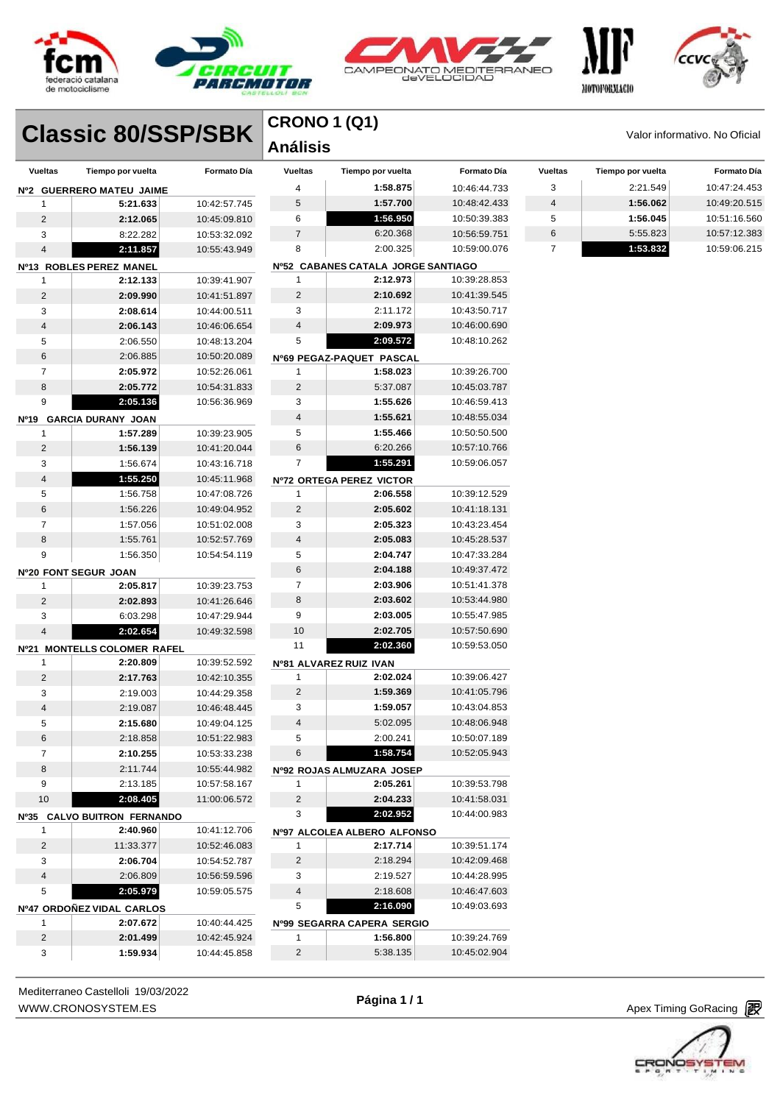







|                         |                             |              | <b>CRONO 1 (Q1)</b>          |                                       |                    |                |                   |                               |
|-------------------------|-----------------------------|--------------|------------------------------|---------------------------------------|--------------------|----------------|-------------------|-------------------------------|
|                         | <b>Classic 80/SSP/SBK</b>   |              | <b>Análisis</b>              |                                       |                    |                |                   | Valor informativo. No Oficial |
| <b>Vueltas</b>          | Tiempo por vuelta           | Formato Día  | <b>Vueltas</b>               | Tiempo por vuelta                     | <b>Formato Día</b> | <b>Vueltas</b> | Tiempo por vuelta | <b>Formato Día</b>            |
|                         | Nº2 GUERRERO MATEU JAIME    |              | 4                            | 1:58.875                              | 10:46:44.733       | 3              | 2:21.549          | 10:47:24.453                  |
| 1                       | 5:21.633                    | 10:42:57.745 | 5                            | 1:57.700                              | 10:48:42.433       | 4              | 1:56.062          | 10:49:20.515                  |
| $\overline{c}$          | 2:12.065                    | 10:45:09.810 | 6                            | 1:56.950                              | 10:50:39.383       | 5              | 1:56.045          | 10:51:16.560                  |
| 3                       | 8:22.282                    | 10:53:32.092 | 7                            | 6:20.368                              | 10:56:59.751       | 6              | 5:55.823          | 10:57:12.383                  |
| 4                       | 2:11.857                    | 10:55:43.949 | 8                            | 2:00.325                              | 10:59:00.076       | 7              | 1:53.832          | 10:59:06.215                  |
|                         | Nº13 ROBLES PEREZ MANEL     |              |                              | Nº52 CABANES CATALA JORGE SANTIAGO    |                    |                |                   |                               |
| 1                       | 2:12.133                    | 10:39:41.907 | 1                            | 2:12.973                              | 10:39:28.853       |                |                   |                               |
| $\sqrt{2}$              | 2:09.990                    | 10:41:51.897 | $\overline{c}$               | 2:10.692                              | 10:41:39.545       |                |                   |                               |
| 3                       | 2:08.614                    | 10:44:00.511 | 3                            | 2:11.172                              | 10:43:50.717       |                |                   |                               |
| 4                       | 2:06.143                    | 10:46:06.654 | 4                            | 2:09.973                              | 10:46:00.690       |                |                   |                               |
| 5                       | 2:06.550                    | 10:48:13.204 | 5                            | 2:09.572                              | 10:48:10.262       |                |                   |                               |
| 6                       | 2:06.885                    | 10:50:20.089 |                              | Nº69 PEGAZ-PAQUET PASCAL              |                    |                |                   |                               |
| 7                       | 2:05.972                    | 10:52:26.061 | 1                            | 1:58.023                              | 10:39:26.700       |                |                   |                               |
| 8                       | 2:05.772                    | 10:54:31.833 | $\overline{c}$               | 5:37.087                              | 10:45:03.787       |                |                   |                               |
| 9                       | 2:05.136                    | 10:56:36.969 | 3                            | 1:55.626                              | 10:46:59.413       |                |                   |                               |
|                         | Nº19 GARCIA DURANY JOAN     |              | 4                            | 1:55.621                              | 10:48:55.034       |                |                   |                               |
| 1                       | 1:57.289                    | 10:39:23.905 | 5                            | 1:55.466                              | 10:50:50.500       |                |                   |                               |
| $\overline{2}$          | 1:56.139                    | 10:41:20.044 | 6                            | 6:20.266                              | 10:57:10.766       |                |                   |                               |
| 3                       | 1:56.674                    | 10:43:16.718 | 7                            | 1:55.291                              | 10:59:06.057       |                |                   |                               |
| 4                       | 1:55.250                    | 10:45:11.968 |                              | Nº72 ORTEGA PEREZ VICTOR              |                    |                |                   |                               |
| 5                       | 1:56.758                    | 10:47:08.726 | 1                            | 2:06.558                              | 10:39:12.529       |                |                   |                               |
| 6                       | 1:56.226                    | 10:49:04.952 | $\overline{c}$               | 2:05.602                              | 10:41:18.131       |                |                   |                               |
| $\overline{7}$          | 1:57.056                    | 10:51:02.008 | 3                            | 2:05.323                              | 10:43:23.454       |                |                   |                               |
| 8                       | 1:55.761                    | 10:52:57.769 | 4                            | 2:05.083                              | 10:45:28.537       |                |                   |                               |
| 9                       | 1:56.350                    | 10:54:54.119 | 5                            | 2:04.747                              | 10:47:33.284       |                |                   |                               |
|                         | Nº20 FONT SEGUR JOAN        |              | 6                            | 2:04.188                              | 10:49:37.472       |                |                   |                               |
| 1                       | 2:05.817                    | 10:39:23.753 | $\overline{7}$               | 2:03.906                              | 10:51:41.378       |                |                   |                               |
| $\overline{2}$          | 2:02.893                    | 10:41:26.646 | 8                            | 2:03.602                              | 10:53:44.980       |                |                   |                               |
| 3                       | 6:03.298                    | 10:47:29.944 | 9                            | 2:03.005                              | 10:55:47.985       |                |                   |                               |
| 4                       | 2:02.654                    | 10:49:32.598 | 10                           | 2:02.705                              | 10:57:50.690       |                |                   |                               |
|                         | Nº21 MONTELLS COLOMER RAFEL |              | 11                           | 2:02.360                              | 10:59:53.050       |                |                   |                               |
| 1                       | 2:20.809                    | 10:39:52.592 |                              | Nº81 ALVAREZ RUIZ IVAN                |                    |                |                   |                               |
| 2                       | 2:17.763                    | 10:42:10.355 | 1                            | 2:02.024                              | 10:39:06.427       |                |                   |                               |
| 3                       | 2:19.003                    | 10:44:29.358 | 2                            | 1:59.369                              | 10:41:05.796       |                |                   |                               |
| 4                       | 2:19.087                    | 10:46:48.445 | 3                            | 1:59.057                              | 10:43:04.853       |                |                   |                               |
| 5                       | 2:15.680                    | 10:49:04.125 | 4                            | 5:02.095                              | 10:48:06.948       |                |                   |                               |
| 6                       | 2:18.858                    | 10:51:22.983 | 5                            | 2:00.241                              | 10:50:07.189       |                |                   |                               |
| 7                       | 2:10.255                    | 10:53:33.238 | 6                            | 1:58.754                              | 10:52:05.943       |                |                   |                               |
| 8                       | 2:11.744                    | 10:55:44.982 |                              |                                       |                    |                |                   |                               |
| 9                       | 2:13.185                    | 10:57:58.167 | 1                            | Nº92 ROJAS ALMUZARA JOSEP<br>2:05.261 | 10:39:53.798       |                |                   |                               |
| 10                      |                             | 11:00:06.572 |                              |                                       |                    |                |                   |                               |
|                         | 2:08.405                    |              | $\overline{\mathbf{c}}$<br>3 | 2:04.233<br>2:02.952                  | 10:41:58.031       |                |                   |                               |
|                         | Nº35 CALVO BUITRON FERNANDO |              |                              |                                       | 10:44:00.983       |                |                   |                               |
| 1                       | 2:40.960                    | 10:41:12.706 |                              | Nº97 ALCOLEA ALBERO ALFONSO           |                    |                |                   |                               |
| $\overline{\mathbf{c}}$ | 11:33.377                   | 10:52:46.083 | 1                            | 2:17.714                              | 10:39:51.174       |                |                   |                               |
| 3                       | 2:06.704                    | 10:54:52.787 | 2                            | 2:18.294                              | 10:42:09.468       |                |                   |                               |
| 4                       | 2:06.809                    | 10:56:59.596 | 3                            | 2:19.527                              | 10:44:28.995       |                |                   |                               |
| 5                       | 2:05.979                    | 10:59:05.575 | $\overline{4}$               | 2:18.608                              | 10:46:47.603       |                |                   |                               |
|                         | Nº47 ORDOÑEZ VIDAL CARLOS   |              | 5                            | 2:16.090                              | 10:49:03.693       |                |                   |                               |
| 1                       | 2:07.672                    | 10:40:44.425 |                              | Nº99 SEGARRA CAPERA SERGIO            |                    |                |                   |                               |
| 2                       | 2:01.499                    | 10:42:45.924 | 1                            | 1:56.800                              | 10:39:24.769       |                |                   |                               |
| 3                       | 1:59.934                    | 10:44:45.858 | $\overline{c}$               | 5:38.135                              | 10:45:02.904       |                |                   |                               |

Mediterraneo Castelloli 19/03/2022 [WWW.CRONOSYSTEM.ES](http://www.cronosystem.es/)

**Página 1 / 1**

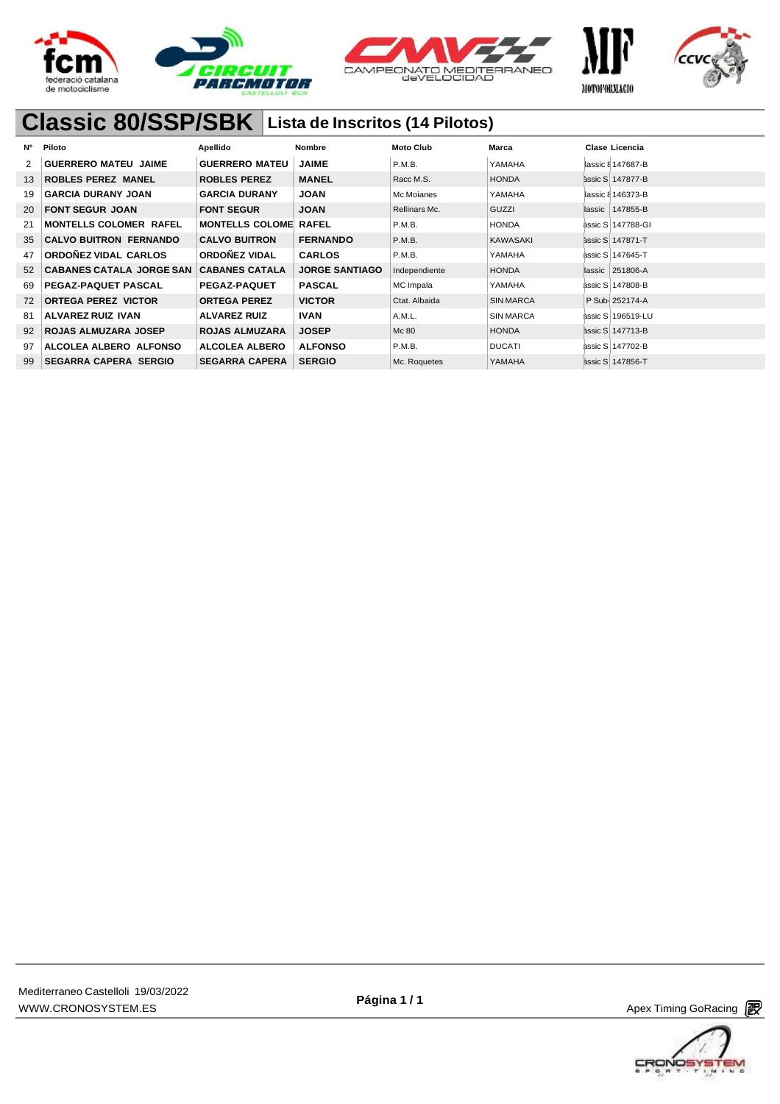







## **Classic 80/SSP/SBK Lista de Inscritos (14 Pilotos)**

| Ν° | Piloto                          | Apellido               | Nombre                | <b>Moto Club</b> | Marca            | Clase Licencia          |
|----|---------------------------------|------------------------|-----------------------|------------------|------------------|-------------------------|
| 2  | <b>GUERRERO MATEU JAIME</b>     | <b>GUERRERO MATEU</b>  | <b>JAIME</b>          | P.M.B.           | YAMAHA           | lassic & 147687-B       |
| 13 | <b>ROBLES PEREZ MANEL</b>       | <b>ROBLES PEREZ</b>    | <b>MANEL</b>          | Racc M.S.        | <b>HONDA</b>     | <b>assic S 147877-B</b> |
| 19 | <b>GARCIA DURANY JOAN</b>       | <b>GARCIA DURANY</b>   | <b>JOAN</b>           | Mc Moianes       | YAMAHA           | lassic & 146373-B       |
| 20 | <b>FONT SEGUR JOAN</b>          | <b>FONT SEGUR</b>      | <b>JOAN</b>           | Rellinars Mc.    | GUZZI            | lassic   147855-B       |
| 21 | <b>MONTELLS COLOMER RAFEL</b>   | <b>MONTELLS COLOME</b> | <b>RAFEL</b>          | P.M.B.           | <b>HONDA</b>     | àssic S 147788-GI       |
| 35 | <b>CALVO BUITRON FERNANDO</b>   | <b>CALVO BUITRON</b>   | <b>FERNANDO</b>       | P.M.B.           | KAWASAKI         | assic S   147871-T      |
| 47 | ORDONEZ VIDAL CARLOS            | ORDOÑEZ VIDAL          | <b>CARLOS</b>         | P.M.B.           | YAMAHA           | àssic S 147645-T        |
| 52 | <b>CABANES CATALA JORGE SAN</b> | <b>CABANES CATALA</b>  | <b>JORGE SANTIAGO</b> | Independiente    | <b>HONDA</b>     | lassic   251806-A       |
| 69 | <b>PEGAZ-PAQUET PASCAL</b>      | <b>PEGAZ-PAQUET</b>    | <b>PASCAL</b>         | MC Impala        | YAMAHA           | àssic S 147808-B        |
| 72 | <b>ORTEGA PEREZ VICTOR</b>      | <b>ORTEGA PEREZ</b>    | <b>VICTOR</b>         | Ctat. Albaida    | <b>SIN MARCA</b> | P Sub- 252174-A         |
| 81 | ALVAREZ RUIZ IVAN               | <b>ALVAREZ RUIZ</b>    | <b>IVAN</b>           | A.M.L.           | <b>SIN MARCA</b> | àssic S 196519-LU       |
| 92 | <b>ROJAS ALMUZARA JOSEP</b>     | <b>ROJAS ALMUZARA</b>  | <b>JOSEP</b>          | Mc 80            | <b>HONDA</b>     | <b>assic S 147713-B</b> |
| 97 | ALCOLEA ALBERO ALFONSO          | <b>ALCOLEA ALBERO</b>  | <b>ALFONSO</b>        | P.M.B.           | <b>DUCATI</b>    | àssic S 147702-B        |
| 99 | <b>SEGARRA CAPERA SERGIO</b>    | <b>SEGARRA CAPERA</b>  | <b>SERGIO</b>         | Mc. Roquetes     | YAMAHA           | assic S 147856-T        |